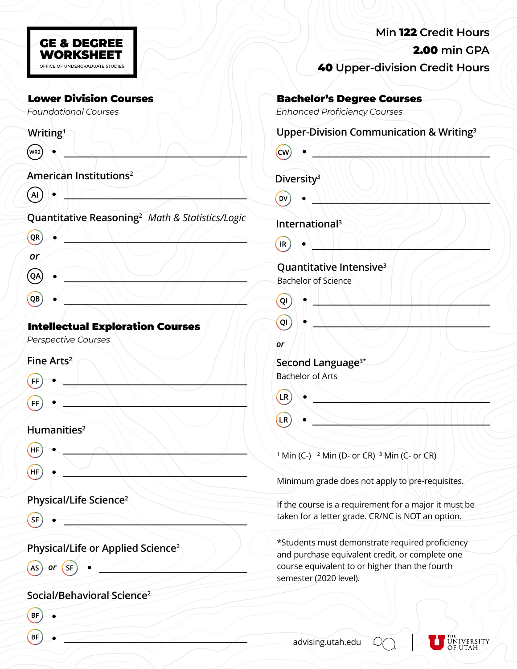| <b>GE &amp; DEGREE</b><br><b>WORKSHEET</b> |  |
|--------------------------------------------|--|
| OFFICE OF UNDERGRADUATE STUDIES            |  |

**Writing1**

| $(w_{R2})$                         |  |  |
|------------------------------------|--|--|
| American Institutions <sup>2</sup> |  |  |

 $\overline{A}$ 

**Quantitative Reasoning2** *Math & Statistics/Logic*

| $\left($ OR $\right)$ |  |  |  |
|-----------------------|--|--|--|
| or                    |  |  |  |
| $\bigodot$            |  |  |  |
| $\left(QB\right)$     |  |  |  |
|                       |  |  |  |

# Intellectual Exploration Courses

*Perspective Courses*

# **Fine Arts2**

| (F)                        |  |  |
|----------------------------|--|--|
|                            |  |  |
| $(\mathsf{f}\mathsf{f})$ . |  |  |

 $\begin{picture}(120,20) \put(0,0){\line(1,0){10}} \put(15,0){\line(1,0){10}} \put(15,0){\line(1,0){10}} \put(15,0){\line(1,0){10}} \put(15,0){\line(1,0){10}} \put(15,0){\line(1,0){10}} \put(15,0){\line(1,0){10}} \put(15,0){\line(1,0){10}} \put(15,0){\line(1,0){10}} \put(15,0){\line(1,0){10}} \put(15,0){\line(1,0){10}} \put(15,0){\line($ 

 $\overline{\phantom{a}}$ 

 $\sim$   $\sim$   $\sim$ 

# **Humanities2**

- HF
- (HF

# **Physical/Life Science2**

 $(SF)$ 

**Physical/Life or Applied Science2**

 $\overline{AS}$  or  $\overline{SF}$ 

# **Social/Behavioral Science2**

- **BF**
- **BF**

| Min 122 Credit Hours                  |
|---------------------------------------|
| 2.00 min GPA                          |
| <b>40 Upper-division Credit Hours</b> |

## **Bachelor's Degree Courses**

*Foundational Courses Enhanced Proficiency Courses*

# **Upper-Division Communication & Writing3**

| (CW) |  |
|------|--|
|      |  |

# **Diversity3**

DV

**International 3**  $\sqrt{R}$ 

#### **Quantitative Intensive3** Bachelor of Science

- $QI$  $Q(1)$ *or* **Second Language3\*** Bachelor of Arts
- LR)
- $LR$

<sup>1</sup> Min (C-) <sup>2</sup> Min (D- or CR) <sup>3</sup> Min (C- or CR)

Minimum grade does not apply to pre-requisites.

If the course is a requirement for a major it must be taken for a letter grade. CR/NC is NOT an option.

\*Students must demonstrate required proficiency and purchase equivalent credit, or complete one course equivalent to or higher than the fourth semester (2020 level).